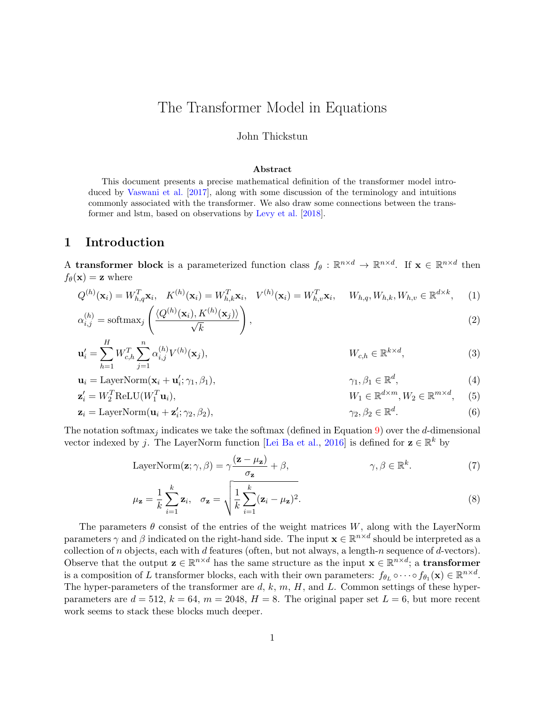# <span id="page-0-6"></span>The Transformer Model in Equations

#### John Thickstun

#### <span id="page-0-5"></span><span id="page-0-4"></span><span id="page-0-3"></span><span id="page-0-2"></span><span id="page-0-1"></span><span id="page-0-0"></span>Abstract

This document presents a precise mathematical definition of the transformer model introduced by [Vaswani et al.](#page-4-0) [\[2017\]](#page-4-0), along with some discussion of the terminology and intuitions commonly associated with the transformer. We also draw some connections between the transformer and lstm, based on observations by [Levy et al.](#page-4-1) [\[2018\]](#page-4-1).

#### 1 Introduction

A transformer block is a parameterized function class  $f_{\theta}: \mathbb{R}^{n \times d} \to \mathbb{R}^{n \times d}$ . If  $\mathbf{x} \in \mathbb{R}^{n \times d}$  then  $f_{\theta}(\mathbf{x}) = \mathbf{z}$  where

$$
Q^{(h)}(\mathbf{x}_i) = W_{h,q}^T \mathbf{x}_i, \quad K^{(h)}(\mathbf{x}_i) = W_{h,k}^T \mathbf{x}_i, \quad V^{(h)}(\mathbf{x}_i) = W_{h,v}^T \mathbf{x}_i, \quad W_{h,q}, W_{h,k}, W_{h,v} \in \mathbb{R}^{d \times k}, \quad (1)
$$

$$
\alpha_{i,j}^{(h)} = \text{softmax}_j \left( \frac{\langle Q^{(h)}(\mathbf{x}_i), K^{(h)}(\mathbf{x}_j) \rangle}{\sqrt{k}} \right),\tag{2}
$$

$$
\mathbf{u}'_i = \sum_{h=1}^H W_{c,h}^T \sum_{j=1}^n \alpha_{i,j}^{(h)} V^{(h)}(\mathbf{x}_j), \qquad W_{c,h} \in \mathbb{R}^{k \times d}, \qquad (3)
$$

$$
\mathbf{u}_i = \text{LayerNorm}(\mathbf{x}_i + \mathbf{u}'_i; \gamma_1, \beta_1), \qquad \gamma_1, \beta_1 \in \mathbb{R}^d, \tag{4}
$$

$$
\mathbf{z}'_i = W_2^T \text{ReLU}(W_1^T \mathbf{u}_i), \qquad W_1 \in \mathbb{R}^{d \times m}, W_2 \in \mathbb{R}^{m \times d}, \qquad (5)
$$

$$
\mathbf{z}_i = \text{LayerNorm}(\mathbf{u}_i + \mathbf{z}_i'; \gamma_2, \beta_2), \qquad \qquad \gamma_2, \beta_2 \in \mathbb{R}^d. \tag{6}
$$

The notation softmax<sub>j</sub> indicates we take the softmax (defined in Equation [9\)](#page-1-0) over the d-dimensional vector indexed by j. The LayerNorm function [\[Lei Ba et al.,](#page-4-2) [2016\]](#page-4-2) is defined for  $\mathbf{z} \in \mathbb{R}^k$  by

LayerNorm(**z**; 
$$
\gamma
$$
,  $\beta$ ) =  $\gamma \frac{(\mathbf{z} - \mu_{\mathbf{z}})}{\sigma_{\mathbf{z}}} + \beta$ ,  $\gamma$ ,  $\beta \in \mathbb{R}^{k}$ . (7)

$$
\mu_{\mathbf{z}} = \frac{1}{k} \sum_{i=1}^{k} \mathbf{z}_i, \quad \sigma_{\mathbf{z}} = \sqrt{\frac{1}{k} \sum_{i=1}^{k} (\mathbf{z}_i - \mu_{\mathbf{z}})^2}.
$$
\n(8)

The parameters  $\theta$  consist of the entries of the weight matrices W, along with the LayerNorm parameters  $\gamma$  and  $\beta$  indicated on the right-hand side. The input  $\mathbf{x} \in \mathbb{R}^{n \times d}$  should be interpreted as a collection of n objects, each with d features (often, but not always, a length-n sequence of d-vectors). Observe that the output  $\mathbf{z} \in \mathbb{R}^{n \times d}$  has the same structure as the input  $\mathbf{x} \in \mathbb{R}^{n \times d}$ ; a **transformer** is a composition of L transformer blocks, each with their own parameters:  $f_{\theta_L} \circ \cdots \circ f_{\theta_1}(\mathbf{x}) \in \mathbb{R}^{n \times d}$ . The hyper-parameters of the transformer are  $d, k, m, H$ , and L. Common settings of these hyperparameters are  $d = 512$ ,  $k = 64$ ,  $m = 2048$ ,  $H = 8$ . The original paper set  $L = 6$ , but more recent work seems to stack these blocks much deeper.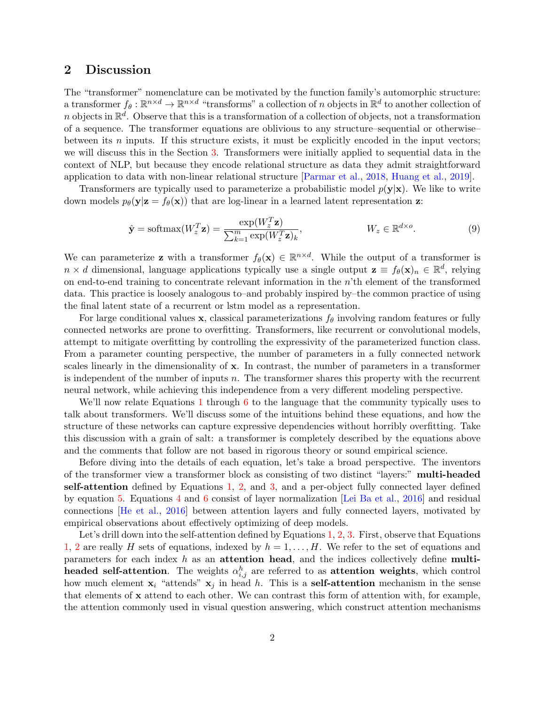### <span id="page-1-1"></span>2 Discussion

The "transformer" nomenclature can be motivated by the function family's automorphic structure: a transformer  $f_\theta: \mathbb{R}^{n \times d} \to \mathbb{R}^{n \times d}$  "transforms" a collection of n objects in  $\mathbb{R}^d$  to another collection of n objects in  $\mathbb{R}^d$ . Observe that this is a transformation of a collection of objects, not a transformation of a sequence. The transformer equations are oblivious to any structure–sequential or otherwise– between its  $n$  inputs. If this structure exists, it must be explicitly encoded in the input vectors; we will discuss this in the Section [3.](#page-2-0) Transformers were initially applied to sequential data in the context of NLP, but because they encode relational structure as data they admit straightforward application to data with non-linear relational structure [\[Parmar et al.,](#page-4-3) [2018,](#page-4-3) [Huang et al.,](#page-4-4) [2019\]](#page-4-4).

Transformers are typically used to parameterize a probabilistic model  $p(y|x)$ . We like to write down models  $p_{\theta}(\mathbf{y}|\mathbf{z} = f_{\theta}(\mathbf{x}))$  that are log-linear in a learned latent representation z:

<span id="page-1-0"></span>
$$
\hat{\mathbf{y}} = \text{softmax}(W_z^T \mathbf{z}) = \frac{\exp(W_z^T \mathbf{z})}{\sum_{k=1}^m \exp(W_z^T \mathbf{z})_k}, \qquad W_z \in \mathbb{R}^{d \times o}.
$$
\n(9)

We can parameterize **z** with a transformer  $f_{\theta}(\mathbf{x}) \in \mathbb{R}^{n \times d}$ . While the output of a transformer is  $n \times d$  dimensional, language applications typically use a single output  $\mathbf{z} \equiv f_{\theta}(\mathbf{x})_n \in \mathbb{R}^d$ , relying on end-to-end training to concentrate relevant information in the  $n$ 'th element of the transformed data. This practice is loosely analogous to–and probably inspired by–the common practice of using the final latent state of a recurrent or lstm model as a representation.

For large conditional values x, classical parameterizations  $f_{\theta}$  involving random features or fully connected networks are prone to overfitting. Transformers, like recurrent or convolutional models, attempt to mitigate overfitting by controlling the expressivity of the parameterized function class. From a parameter counting perspective, the number of parameters in a fully connected network scales linearly in the dimensionality of x. In contrast, the number of parameters in a transformer is independent of the number of inputs  $n$ . The transformer shares this property with the recurrent neural network, while achieving this independence from a very different modeling perspective.

We'll now relate Equations [1](#page-0-0) through [6](#page-0-1) to the language that the community typically uses to talk about transformers. We'll discuss some of the intuitions behind these equations, and how the structure of these networks can capture expressive dependencies without horribly overfitting. Take this discussion with a grain of salt: a transformer is completely described by the equations above and the comments that follow are not based in rigorous theory or sound empirical science.

Before diving into the details of each equation, let's take a broad perspective. The inventors of the transformer view a transformer block as consisting of two distinct "layers:" multi-headed self-attention defined by Equations [1,](#page-0-0) [2,](#page-0-2) and [3,](#page-0-3) and a per-object fully connected layer defined by equation [5.](#page-0-4) Equations [4](#page-0-5) and [6](#page-0-1) consist of layer normalization [\[Lei Ba et al.,](#page-4-2) [2016\]](#page-4-2) and residual connections [\[He et al.,](#page-4-5) [2016\]](#page-4-5) between attention layers and fully connected layers, motivated by empirical observations about effectively optimizing of deep models.

Let's drill down into the self-attention defined by Equations [1,](#page-0-0) [2,](#page-0-2) [3.](#page-0-3) First, observe that Equations [1,](#page-0-0) [2](#page-0-2) are really H sets of equations, indexed by  $h = 1, \ldots, H$ . We refer to the set of equations and parameters for each index  $h$  as an attention head, and the indices collectively define multiheaded self-attention. The weights  $\alpha_{i,j}^h$  are referred to as attention weights, which control how much element  $x_i$  "attends"  $x_j$  in head h. This is a **self-attention** mechanism in the sense that elements of x attend to each other. We can contrast this form of attention with, for example, the attention commonly used in visual question answering, which construct attention mechanisms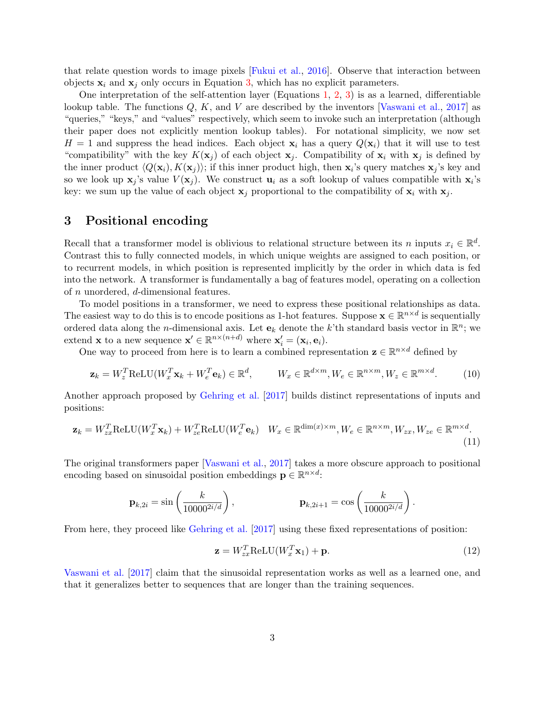that relate question words to image pixels [\[Fukui et al.,](#page-4-6) [2016\]](#page-4-6). Observe that interaction between objects  $x_i$  and  $x_j$  only occurs in Equation [3,](#page-0-3) which has no explicit parameters.

One interpretation of the self-attention layer (Equations [1,](#page-0-0) [2,](#page-0-2) [3\)](#page-0-3) is as a learned, differentiable lookup table. The functions  $Q, K$ , and V are described by the inventors [\[Vaswani et al.,](#page-4-0) [2017\]](#page-4-0) as "queries," "keys," and "values" respectively, which seem to invoke such an interpretation (although their paper does not explicitly mention lookup tables). For notational simplicity, we now set  $H = 1$  and suppress the head indices. Each object  $x_i$  has a query  $Q(x_i)$  that it will use to test "compatibility" with the key  $K(\mathbf{x}_j)$  of each object  $\mathbf{x}_j$ . Compatibility of  $\mathbf{x}_i$  with  $\mathbf{x}_j$  is defined by the inner product  $\langle Q(\mathbf{x}_i), K(\mathbf{x}_j) \rangle$ ; if this inner product high, then  $\mathbf{x}_i$ 's query matches  $\mathbf{x}_j$ 's key and so we look up  $\mathbf{x}_j$ 's value  $V(\mathbf{x}_j)$ . We construct  $\mathbf{u}_i$  as a soft lookup of values compatible with  $\mathbf{x}_i$ 's key: we sum up the value of each object  $x_i$  proportional to the compatibility of  $x_i$  with  $x_i$ .

### <span id="page-2-0"></span>3 Positional encoding

Recall that a transformer model is oblivious to relational structure between its n inputs  $x_i \in \mathbb{R}^d$ . Contrast this to fully connected models, in which unique weights are assigned to each position, or to recurrent models, in which position is represented implicitly by the order in which data is fed into the network. A transformer is fundamentally a bag of features model, operating on a collection of n unordered, d-dimensional features.

To model positions in a transformer, we need to express these positional relationships as data. The easiest way to do this is to encode positions as 1-hot features. Suppose  $\mathbf{x} \in \mathbb{R}^{n \times d}$  is sequentially ordered data along the *n*-dimensional axis. Let  $e_k$  denote the k'th standard basis vector in  $\mathbb{R}^n$ ; we extend **x** to a new sequence  $\mathbf{x}' \in \mathbb{R}^{n \times (n+d)}$  where  $\mathbf{x}'_i = (\mathbf{x}_i, \mathbf{e}_i)$ .

One way to proceed from here is to learn a combined representation  $\mathbf{z} \in \mathbb{R}^{n \times d}$  defined by

$$
\mathbf{z}_k = W_z^T \text{ReLU}(W_x^T \mathbf{x}_k + W_e^T \mathbf{e}_k) \in \mathbb{R}^d, \qquad W_x \in \mathbb{R}^{d \times m}, W_e \in \mathbb{R}^{n \times m}, W_z \in \mathbb{R}^{m \times d}.
$$
 (10)

Another approach proposed by [Gehring et al.](#page-4-7) [\[2017\]](#page-4-7) builds distinct representations of inputs and positions:

$$
\mathbf{z}_{k} = W_{zx}^{T} \text{ReLU}(W_{x}^{T} \mathbf{x}_{k}) + W_{ze}^{T} \text{ReLU}(W_{e}^{T} \mathbf{e}_{k}) \quad W_{x} \in \mathbb{R}^{\dim(x) \times m}, W_{e} \in \mathbb{R}^{n \times m}, W_{zx}, W_{ze} \in \mathbb{R}^{m \times d}.
$$
\n(11)

The original transformers paper [\[Vaswani et al.,](#page-4-0) [2017\]](#page-4-0) takes a more obscure approach to positional encoding based on sinusoidal position embeddings  $\mathbf{p} \in \mathbb{R}^{n \times d}$ :

$$
\mathbf{p}_{k,2i} = \sin\left(\frac{k}{10000^{2i/d}}\right), \qquad \mathbf{p}_{k,2i+1} = \cos\left(\frac{k}{10000^{2i/d}}\right).
$$

From here, they proceed like [Gehring et al.](#page-4-7) [\[2017\]](#page-4-7) using these fixed representations of position:

<span id="page-2-3"></span><span id="page-2-2"></span><span id="page-2-1"></span>
$$
\mathbf{z} = W_{zx}^T \text{ReLU}(W_x^T \mathbf{x}_1) + \mathbf{p}.\tag{12}
$$

[Vaswani et al.](#page-4-0) [\[2017\]](#page-4-0) claim that the sinusoidal representation works as well as a learned one, and that it generalizes better to sequences that are longer than the training sequences.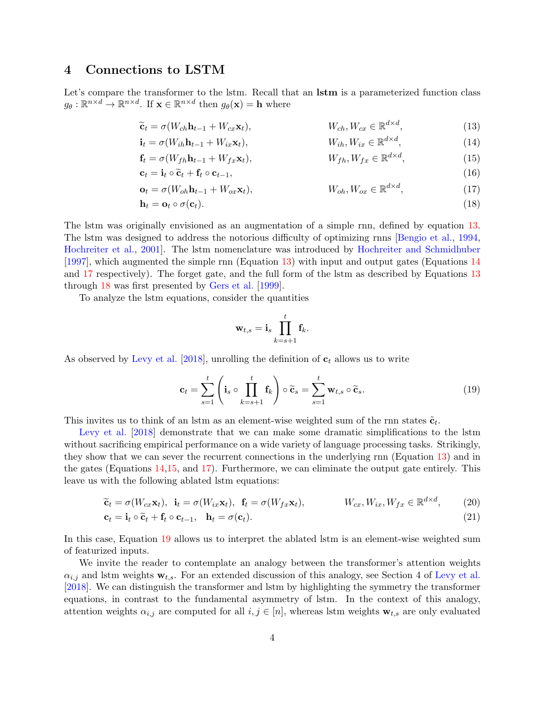### 4 Connections to LSTM

Let's compare the transformer to the lstm. Recall that an **lstm** is a parameterized function class  $g_{\theta}: \mathbb{R}^{n \times d} \to \mathbb{R}^{n \times d}$ . If  $\mathbf{x} \in \mathbb{R}^{n \times d}$  then  $g_{\theta}(\mathbf{x}) = \mathbf{h}$  where

$$
\widetilde{\mathbf{c}}_t = \sigma(W_{ch}\mathbf{h}_{t-1} + W_{cx}\mathbf{x}_t), \qquad W_{ch}, W_{cx} \in \mathbb{R}^{d \times d}, \qquad (13)
$$

<span id="page-3-4"></span><span id="page-3-3"></span><span id="page-3-2"></span><span id="page-3-1"></span><span id="page-3-0"></span> $\overline{d}$ 

 $-\mathbf{m}d\times d$ 

$$
\mathbf{i}_{t} = \sigma(W_{ih}\mathbf{h}_{t-1} + W_{ix}\mathbf{x}_{t}), \qquad W_{ih}, W_{ix} \in \mathbb{R}^{d \times d}, \qquad (14)
$$
\n
$$
\mathbf{f}_{t} = \sigma(W_{i}, \mathbf{h}_{t-1} + W_{i}, \mathbf{v}_{t}) \qquad W_{i}, W_{i}, \subset \mathbb{R}^{d \times d} \qquad (15)
$$

$$
\mathbf{f}_t = \sigma(W_{fh}\mathbf{h}_{t-1} + W_{fx}\mathbf{x}_t), \qquad W_{fh}, W_{fx} \in \mathbb{R}^{d \times d}, \qquad (15)
$$

$$
\mathbf{c}_{t} = \mathbf{i}_{t} \circ \widetilde{\mathbf{c}}_{t} + \mathbf{f}_{t} \circ \mathbf{c}_{t-1},\tag{16}
$$
\n
$$
\mathbf{c}_{t} = \mathbf{i}_{t} \circ \widetilde{\mathbf{c}}_{t} + \mathbf{f}_{t} \circ \mathbf{c}_{t-1},\tag{17}
$$

$$
\mathbf{o}_t = \sigma(W_{oh}\mathbf{h}_{t-1} + W_{ox}\mathbf{x}_t), \qquad W_{oh}, W_{ox} \in \mathbb{R}^{d \times d}, \qquad (17)
$$

$$
\mathbf{h}_t = \mathbf{o}_t \circ \sigma(\mathbf{c}_t). \tag{18}
$$

The lstm was originally envisioned as an augmentation of a simple rnn, defined by equation [13.](#page-3-0) The lstm was designed to address the notorious difficulty of optimizing rnns [\[Bengio et al.,](#page-4-8) [1994,](#page-4-8) [Hochreiter et al.,](#page-4-9) [2001\]](#page-4-9). The lstm nomenclature was introduced by [Hochreiter and Schmidhuber](#page-4-10) [\[1997\]](#page-4-10), which augmented the simple rnn (Equation [13\)](#page-3-0) with input and output gates (Equations [14](#page-3-1) and [17](#page-3-2) respectively). The forget gate, and the full form of the lstm as described by Equations [13](#page-3-0) through [18](#page-3-3) was first presented by [Gers et al.](#page-4-11) [\[1999\]](#page-4-11).

To analyze the lstm equations, consider the quantities

<span id="page-3-6"></span>
$$
\mathbf{w}_{t,s} = \mathbf{i}_s \prod_{k=s+1}^t \mathbf{f}_k.
$$

As observed by [Levy et al.](#page-4-1) [\[2018\]](#page-4-1), unrolling the definition of  $\mathbf{c}_t$  allows us to write

<span id="page-3-5"></span>
$$
\mathbf{c}_t = \sum_{s=1}^t \left( \mathbf{i}_s \circ \prod_{k=s+1}^t \mathbf{f}_k \right) \circ \widetilde{\mathbf{c}}_s = \sum_{s=1}^t \mathbf{w}_{t,s} \circ \widetilde{\mathbf{c}}_s. \tag{19}
$$

This invites us to think of an lstm as an element-wise weighted sum of the rnn states  $\tilde{\mathbf{c}}_t$ .

[Levy et al.](#page-4-1) [\[2018\]](#page-4-1) demonstrate that we can make some dramatic simplifications to the lstm without sacrificing empirical performance on a wide variety of language processing tasks. Strikingly, they show that we can sever the recurrent connections in the underlying rnn (Equation [13\)](#page-3-0) and in the gates (Equations [14,](#page-3-1)[15,](#page-3-4) and [17\)](#page-3-2). Furthermore, we can eliminate the output gate entirely. This leave us with the following ablated lstm equations:

$$
\widetilde{\mathbf{c}}_t = \sigma(W_{cx}\mathbf{x}_t), \quad \mathbf{i}_t = \sigma(W_{ix}\mathbf{x}_t), \quad \mathbf{f}_t = \sigma(W_{fx}\mathbf{x}_t), \qquad W_{cx}, W_{ix}, W_{fx} \in \mathbb{R}^{d \times d}, \tag{20}
$$

$$
\mathbf{c}_t = \mathbf{i}_t \circ \widetilde{\mathbf{c}}_t + \mathbf{f}_t \circ \mathbf{c}_{t-1}, \quad \mathbf{h}_t = \sigma(\mathbf{c}_t). \tag{21}
$$

In this case, Equation [19](#page-3-5) allows us to interpret the ablated lstm is an element-wise weighted sum of featurized inputs.

We invite the reader to contemplate an analogy between the transformer's attention weights  $\alpha_{i,j}$  and lstm weights  $\mathbf{w}_{t,s}$ . For an extended discussion of this analogy, see Section 4 of [Levy et al.](#page-4-1) [\[2018\]](#page-4-1). We can distinguish the transformer and lstm by highlighting the symmetry the transformer equations, in contrast to the fundamental asymmetry of lstm. In the context of this analogy, attention weights  $\alpha_{i,j}$  are computed for all  $i, j \in [n]$ , whereas lstm weights  $\mathbf{w}_{t,s}$  are only evaluated